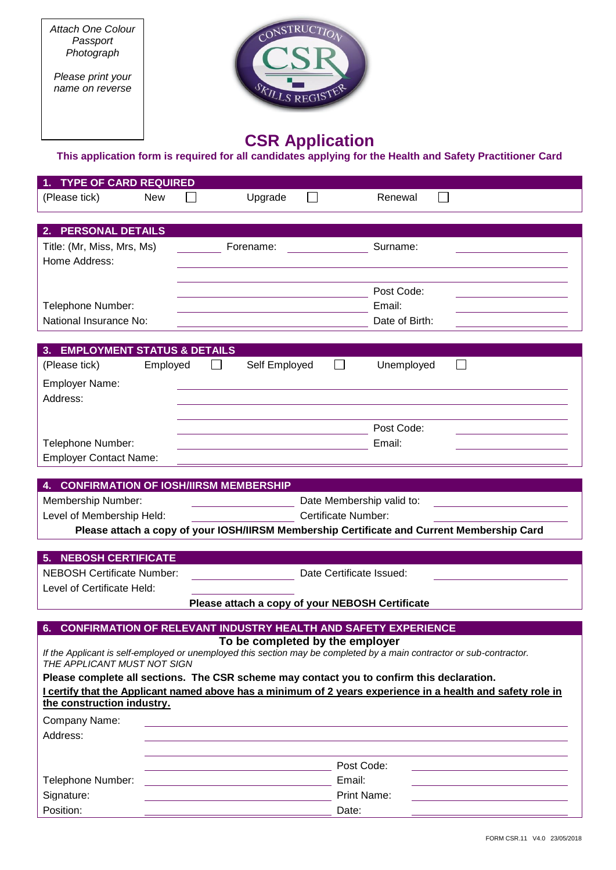*Attach One Colour Passport Photograph*

*Please print your name on reverse*



# **CSR Application**

#### **This application form is required for all candidates applying for the Health and Safety Practitioner Card**

| <b>TYPE OF CARD REQUIRED</b>                                                                                                              |                                                               |                |
|-------------------------------------------------------------------------------------------------------------------------------------------|---------------------------------------------------------------|----------------|
| (Please tick)<br><b>New</b>                                                                                                               | Upgrade                                                       | Renewal        |
| <b>PERSONAL DETAILS</b><br>2.                                                                                                             |                                                               |                |
| Title: (Mr, Miss, Mrs, Ms)                                                                                                                | Forename:                                                     | Surname:       |
| Home Address:                                                                                                                             |                                                               |                |
|                                                                                                                                           |                                                               |                |
|                                                                                                                                           |                                                               | Post Code:     |
| Telephone Number:                                                                                                                         |                                                               | Email:         |
| National Insurance No:                                                                                                                    |                                                               | Date of Birth: |
| 3. EMPLOYMENT STATUS & DETAILS                                                                                                            |                                                               |                |
| (Please tick)<br>Employed                                                                                                                 | Self Employed                                                 | Unemployed     |
| <b>Employer Name:</b>                                                                                                                     |                                                               |                |
| Address:                                                                                                                                  |                                                               |                |
|                                                                                                                                           |                                                               |                |
|                                                                                                                                           |                                                               | Post Code:     |
| Telephone Number:                                                                                                                         |                                                               | Email:         |
| <b>Employer Contact Name:</b>                                                                                                             |                                                               |                |
|                                                                                                                                           |                                                               |                |
| <b>CONFIRMATION OF IOSH/IIRSM MEMBERSHIP</b>                                                                                              |                                                               |                |
| Membership Number:<br>Date Membership valid to:                                                                                           |                                                               |                |
| <b>Certificate Number:</b><br>Level of Membership Held:                                                                                   |                                                               |                |
| Please attach a copy of your IOSH/IIRSM Membership Certificate and Current Membership Card                                                |                                                               |                |
| <b>NEBOSH CERTIFICATE</b><br>5.                                                                                                           |                                                               |                |
| <b>NEBOSH Certificate Number:</b><br>Date Certificate Issued:                                                                             |                                                               |                |
| Level of Certificate Held:                                                                                                                |                                                               |                |
| Please attach a copy of your NEBOSH Certificate                                                                                           |                                                               |                |
|                                                                                                                                           |                                                               |                |
| <b>CONFIRMATION OF RELEVANT INDUSTRY HEALTH AND SAFETY EXPERIENCE</b><br>6.<br>To be completed by the employer                            |                                                               |                |
| If the Applicant is self-employed or unemployed this section may be completed by a main contractor or sub-contractor.                     |                                                               |                |
| THE APPI ICANT MUST NOT SIGN                                                                                                              |                                                               |                |
| Please complete all sections. The CSR scheme may contact you to confirm this declaration.                                                 |                                                               |                |
| I certify that the Applicant named above has a minimum of 2 years experience in a health and safety role in<br>the construction industry. |                                                               |                |
| Company Name:                                                                                                                             |                                                               |                |
| Address:                                                                                                                                  |                                                               |                |
|                                                                                                                                           |                                                               |                |
|                                                                                                                                           | Post Code:                                                    |                |
| Telephone Number:                                                                                                                         | Email:<br><u> 1989 - Johann Barbara, martxa alemaniar arg</u> |                |
| Signature:                                                                                                                                | Print Name:                                                   |                |
| Position:                                                                                                                                 | Date:                                                         |                |